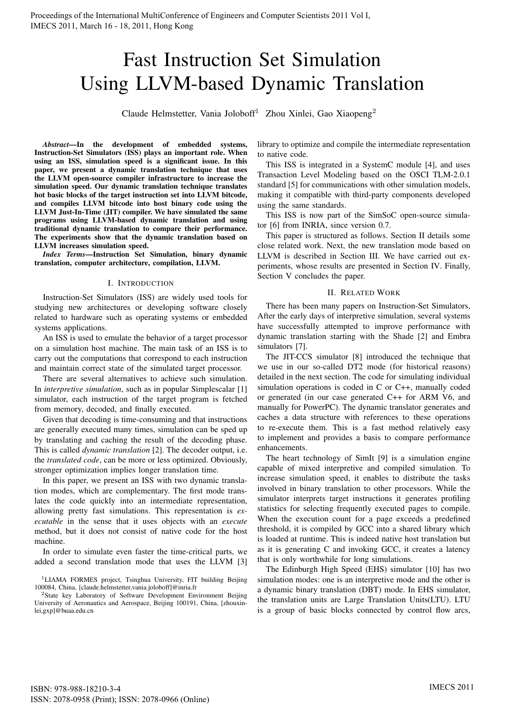# Fast Instruction Set Simulation Using LLVM-based Dynamic Translation

Claude Helmstetter, Vania Joloboff<sup>1</sup> Zhou Xinlei, Gao Xiaopeng<sup>2</sup>

*Abstract*—In the development of embedded systems, Instruction-Set Simulators (ISS) plays an important role. When using an ISS, simulation speed is a significant issue. In this paper, we present a dynamic translation technique that uses the LLVM open-source compiler infrastructure to increase the simulation speed. Our dynamic translation technique translates hot basic blocks of the target instruction set into LLVM bitcode, and compiles LLVM bitcode into host binary code using the LLVM Just-In-Time (JIT) compiler. We have simulated the same programs using LLVM-based dynamic translation and using traditional dynamic translation to compare their performance. The experiments show that the dynamic translation based on LLVM increases simulation speed.

*Index Terms*—Instruction Set Simulation, binary dynamic translation, computer architecture, compilation, LLVM.

# I. INTRODUCTION

Instruction-Set Simulators (ISS) are widely used tools for studying new architectures or developing software closely related to hardware such as operating systems or embedded systems applications.

An ISS is used to emulate the behavior of a target processor on a simulation host machine. The main task of an ISS is to carry out the computations that correspond to each instruction and maintain correct state of the simulated target processor.

There are several alternatives to achieve such simulation. In *interpretive simulation*, such as in popular Simplescalar [1] simulator, each instruction of the target program is fetched from memory, decoded, and finally executed.

Given that decoding is time-consuming and that instructions are generally executed many times, simulation can be sped up by translating and caching the result of the decoding phase. This is called *dynamic translation* [2]. The decoder output, i.e. the *translated code*, can be more or less optimized. Obviously, stronger optimization implies longer translation time.

In this paper, we present an ISS with two dynamic translation modes, which are complementary. The first mode translates the code quickly into an intermediate representation, allowing pretty fast simulations. This representation is *executable* in the sense that it uses objects with an *execute* method, but it does not consist of native code for the host machine.

In order to simulate even faster the time-critical parts, we added a second translation mode that uses the LLVM [3]

<sup>2</sup>State key Laboratory of Software Development Environment Beijing University of Aeronautics and Aerospace, Beijing 100191, China, [zhouxinlei,gxp]@buaa.edu.cn

library to optimize and compile the intermediate representation to native code.

This ISS is integrated in a SystemC module [4], and uses Transaction Level Modeling based on the OSCI TLM-2.0.1 standard [5] for communications with other simulation models, making it compatible with third-party components developed using the same standards.

This ISS is now part of the SimSoC open-source simulator [6] from INRIA, since version 0.7.

This paper is structured as follows. Section II details some close related work. Next, the new translation mode based on LLVM is described in Section III. We have carried out experiments, whose results are presented in Section IV. Finally, Section V concludes the paper.

#### II. RELATED WORK

There has been many papers on Instruction-Set Simulators, After the early days of interpretive simulation, several systems have successfully attempted to improve performance with dynamic translation starting with the Shade [2] and Embra simulators [7].

The JIT-CCS simulator [8] introduced the technique that we use in our so-called DT2 mode (for historical reasons) detailed in the next section. The code for simulating individual simulation operations is coded in C or C++, manually coded or generated (in our case generated C++ for ARM V6, and manually for PowerPC). The dynamic translator generates and caches a data structure with references to these operations to re-execute them. This is a fast method relatively easy to implement and provides a basis to compare performance enhancements.

The heart technology of SimIt [9] is a simulation engine capable of mixed interpretive and compiled simulation. To increase simulation speed, it enables to distribute the tasks involved in binary translation to other processors. While the simulator interprets target instructions it generates profiling statistics for selecting frequently executed pages to compile. When the execution count for a page exceeds a predefined threshold, it is compiled by GCC into a shared library which is loaded at runtime. This is indeed native host translation but as it is generating C and invoking GCC, it creates a latency that is only worthwhile for long simulations.

The Edinburgh High Speed (EHS) simulator [10] has two simulation modes: one is an interpretive mode and the other is a dynamic binary translation (DBT) mode. In EHS simulator, the translation units are Large Translation Units(LTU). LTU is a group of basic blocks connected by control flow arcs,

<sup>&</sup>lt;sup>1</sup>LIAMA FORMES project, Tsinghua University, FIT building Beijing 100084, China, [claude.helmstetter,vania.joloboff]@inria.fr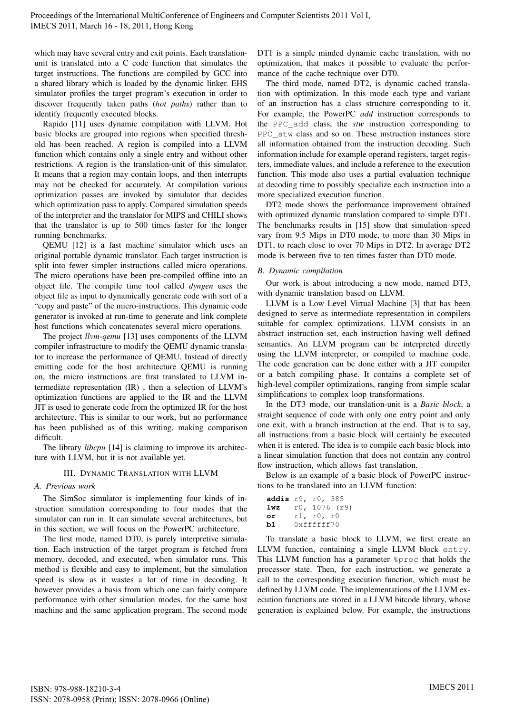which may have several entry and exit points. Each translationunit is translated into a C code function that simulates the target instructions. The functions are compiled by GCC into a shared library which is loaded by the dynamic linker. EHS simulator profiles the target program's execution in order to discover frequently taken paths (*hot paths*) rather than to identify frequently executed blocks.

Rapido [11] uses dynamic compilation with LLVM. Hot basic blocks are grouped into regions when specified threshold has been reached. A region is compiled into a LLVM function which contains only a single entry and without other restrictions. A region is the translation-unit of this simulator. It means that a region may contain loops, and then interrupts may not be checked for accurately. At compilation various optimization passes are invoked by simulator that decides which optimization pass to apply. Compared simulation speeds of the interpreter and the translator for MIPS and CHILI shows that the translator is up to 500 times faster for the longer running benchmarks.

QEMU [12] is a fast machine simulator which uses an original portable dynamic translator. Each target instruction is split into fewer simpler instructions called micro operations. The micro operations have been pre-compiled offline into an object file. The compile time tool called *dyngen* uses the object file as input to dynamically generate code with sort of a "copy and paste" of the micro-instructions. This dynamic code generator is invoked at run-time to generate and link complete host functions which concatenates several micro operations.

The project *llvm-qemu* [13] uses components of the LLVM compiler infrastructure to modify the QEMU dynamic translator to increase the performance of QEMU. Instead of directly emitting code for the host architecture QEMU is running on, the micro instructions are first translated to LLVM intermediate representation (IR) , then a selection of LLVM's optimization functions are applied to the IR and the LLVM JIT is used to generate code from the optimized IR for the host architecture. This is similar to our work, but no performance has been published as of this writing, making comparison difficult.

The library *libcpu* [14] is claiming to improve its architecture with LLVM, but it is not available yet.

## III. DYNAMIC TRANSLATION WITH LLVM

# *A. Previous work*

The SimSoc simulator is implementing four kinds of instruction simulation corresponding to four modes that the simulator can run in. It can simulate several architectures, but in this section, we will focus on the PowerPC architecture.

The first mode, named DT0, is purely interpretive simulation. Each instruction of the target program is fetched from memory, decoded, and executed, when simulator runs. This method is flexible and easy to implement, but the simulation speed is slow as it wastes a lot of time in decoding. It however provides a basis from which one can fairly compare performance with other simulation modes, for the same host machine and the same application program. The second mode

DT1 is a simple minded dynamic cache translation, with no optimization, that makes it possible to evaluate the performance of the cache technique over DT0.

The third mode, named DT2, is dynamic cached translation with optimization. In this mode each type and variant of an instruction has a class structure corresponding to it. For example, the PowerPC *add* instruction corresponds to the PPC\_add class, the *stw* instruction corresponding to PPC\_stw class and so on. These instruction instances store all information obtained from the instruction decoding. Such information include for example operand registers, target registers, immediate values, and include a reference to the execution function. This mode also uses a partial evaluation technique at decoding time to possibly specialize each instruction into a more specialized execution function.

DT2 mode shows the performance improvement obtained with optimized dynamic translation compared to simple DT1. The benchmarks results in [15] show that simulation speed vary from 9.5 Mips in DT0 mode, to more than 30 Mips in DT1, to reach close to over 70 Mips in DT2. In average DT2 mode is between five to ten times faster than DT0 mode.

# *B. Dynamic compilation*

Our work is about introducing a new mode, named DT3, with dynamic translation based on LLVM.

LLVM is a Low Level Virtual Machine [3] that has been designed to serve as intermediate representation in compilers suitable for complex optimizations. LLVM consists in an abstract instruction set, each instruction having well defined semantics. An LLVM program can be interpreted directly using the LLVM interpreter, or compiled to machine code. The code generation can be done either with a JIT compiler or a batch compiling phase. It contains a complete set of high-level compiler optimizations, ranging from simple scalar simplifications to complex loop transformations.

In the DT3 mode, our translation-unit is a *Basic block*, a straight sequence of code with only one entry point and only one exit, with a branch instruction at the end. That is to say, all instructions from a basic block will certainly be executed when it is entered. The idea is to compile each basic block into a linear simulation function that does not contain any control flow instruction, which allows fast translation.

Below is an example of a basic block of PowerPC instructions to be translated into an LLVM function:

```
addis r9, r0, 385
lwz r0, 1076 (r9)
or r1, r0, r0
bl 0xffffff70
```
To translate a basic block to LLVM, we first create an LLVM function, containing a single LLVM block entry. This LLVM function has a parameter %proc that holds the processor state. Then, for each instruction, we generate a call to the corresponding execution function, which must be defined by LLVM code. The implementations of the LLVM execution functions are stored in a LLVM bitcode library, whose generation is explained below. For example, the instructions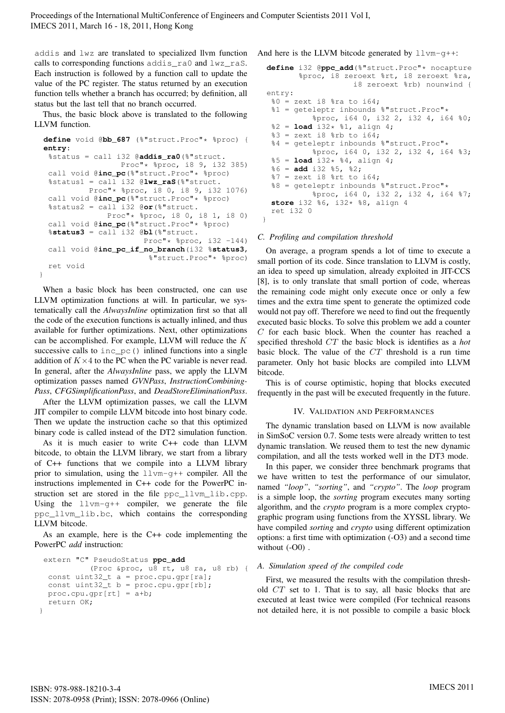Proceedings of the International MultiConference of Engineers and Computer Scientists 2011 Vol I, IMECS 2011, March 16 - 18, 2011, Hong Kong

addis and lwz are translated to specialized llvm function calls to corresponding functions addis\_ra0 and lwz\_raS. Each instruction is followed by a function call to update the value of the PC register. The status returned by an execution function tells whether a branch has occurred; by definition, all status but the last tell that no branch occurred.

Thus, the basic block above is translated to the following LLVM function.

```
define void @bb_687 (%"struct.Proc"* %proc) {
 entry:
  %status = call i32 @addis_ra0(%"struct.
                  Proc"* %proc, i8 9, i32 385)
  call void @inc_pc(%"struct.Proc"* %proc)
  %status1 = call i32 @lwz_raS(%"struct.
          Proc"* %proc, i8 0, i8 9, i32 1076)
  call void @inc_pc(%"struct.Proc"* %proc)
  %status2 = call i32 @or(%"struct.
               Proc"* %proc, i8 0, i8 1, i8 0)
  call void @inc_pc(%"struct.Proc"* %proc)
  %status3 = call i32 @bl(%"struct.
                       Proc"* % Proc, i32 -144)
  call void @inc_pc_if_no_branch(i32 %status3,
                        %"struct.Proc"* %proc)
  ret void
}
```
When a basic block has been constructed, one can use LLVM optimization functions at will. In particular, we systematically call the *AlwaysInline* optimization first so that all the code of the execution functions is actually inlined, and thus available for further optimizations. Next, other optimizations can be accomplished. For example, LLVM will reduce the  $K$ successive calls to inc\_pc() inlined functions into a single addition of  $K \times 4$  to the PC when the PC variable is never read. In general, after the *AlwaysInline* pass, we apply the LLVM optimization passes named *GVNPass*, *InstructionCombining-Pass*, *CFGSimplificationPass*, and *DeadStoreEliminationPass*.

After the LLVM optimization passes, we call the LLVM JIT compiler to compile LLVM bitcode into host binary code. Then we update the instruction cache so that this optimized binary code is called instead of the DT2 simulation function.

As it is much easier to write C++ code than LLVM bitcode, to obtain the LLVM library, we start from a library of C++ functions that we compile into a LLVM library prior to simulation, using the llvm-g++ compiler. All the instructions implemented in C++ code for the PowerPC instruction set are stored in the file ppc\_llvm\_lib.cpp. Using the llvm-g++ compiler, we generate the file ppc\_llvm\_lib.bc, which contains the corresponding LLVM bitcode.

As an example, here is the C++ code implementing the PowerPC *add* instruction:

```
extern "C" PseudoStatus ppc_add
           (Proc &proc, u8 rt, u8 ra, u8 rb) {
  const uint32_t a = proc.cpu.gpr[ra];const uint32_t b = proc.cpu.gpr[rb];
  proc.cpu.gpr[rt] = a+b;
  return OK;
}
```
And here is the LLVM bitcode generated by  $llm-q++$ :

```
define i32 @ppc_add(%"struct.Proc"* nocapture
        %proc, i8 zeroext %rt, i8 zeroext %ra,
                    i8 zeroext %rb) nounwind {
entry:
 80 = zext i8 8ra to i64;
 %1 = geteleptr inbounds %"struct.Proc"*
           %proc, i64 0, i32 2, i32 4, i64 %0;
 2 =load i32* 21, align 4;
 83 = zext i8 %rb to i64;
 %4 = geteleptr inbounds %"struct.Proc"*
           %proc, i64 0, i32 2, i32 4, i64 %3;
 %5 = load i32* %4, align 4;
 %6 = add i32 %5, %2;
 87 = zext i8 8rt to i64;
 %8 = geteleptr inbounds %"struct.Proc"*
           %proc, i64 0, i32 2, i32 4, i64 %7;
 store i32 %6, i32* %8, align 4
 ret i32 0
}
```
#### *C. Profiling and compilation threshold*

On average, a program spends a lot of time to execute a small portion of its code. Since translation to LLVM is costly, an idea to speed up simulation, already exploited in JIT-CCS [8], is to only translate that small portion of code, whereas the remaining code might only execute once or only a few times and the extra time spent to generate the optimized code would not pay off. Therefore we need to find out the frequently executed basic blocks. To solve this problem we add a counter  $C$  for each basic block. When the counter has reached a specified threshold CT the basic block is identifies as a *hot* basic block. The value of the CT threshold is a run time parameter. Only hot basic blocks are compiled into LLVM bitcode.

This is of course optimistic, hoping that blocks executed frequently in the past will be executed frequently in the future.

#### IV. VALIDATION AND PERFORMANCES

The dynamic translation based on LLVM is now available in SimSoC version 0.7. Some tests were already written to test dynamic translation. We reused them to test the new dynamic compilation, and all the tests worked well in the DT3 mode.

In this paper, we consider three benchmark programs that we have written to test the performance of our simulator, named *"loop"*, *"sorting"*, and *"crypto"*. The *loop* program is a simple loop, the *sorting* program executes many sorting algorithm, and the *crypto* program is a more complex cryptographic program using functions from the XYSSL library. We have compiled *sorting* and *crypto* using different optimization options: a first time with optimization (-O3) and a second time without  $(-00)$ .

#### *A. Simulation speed of the compiled code*

First, we measured the results with the compilation threshold CT set to 1. That is to say, all basic blocks that are executed at least twice were compiled (For technical reasons not detailed here, it is not possible to compile a basic block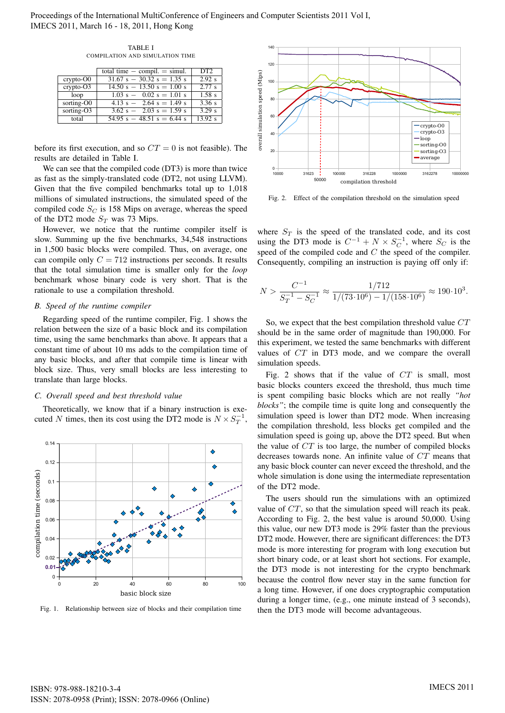Proceedings of the International MultiConference of Engineers and Computer Scientists 2011 Vol I, IMECS 2011, March 16 - 18, 2011, Hong Kong

TABLE I COMPILATION AND SIMULATION TIME

|               | total time $-$ compil. $=$ simul. | DT2                 |
|---------------|-----------------------------------|---------------------|
| $crypto-O0$   | $31.67 s - 30.32 s = 1.35 s$      | $\overline{2.92}$ s |
| $crypto-O3$   | $14.50 s - 13.50 s = 1.00 s$      | $\overline{2.77}$ s |
| loop          | $1.03 s - 0.02 s = 1.01 s$        | $1.58$ s            |
| sorting-O0    | $4.13 s - 2.64 s = 1.49 s$        | 3.36 s              |
| sorting- $O3$ | $3.62 s - 2.03 s = 1.59 s$        | 3.29 s              |
| total         | $54.95 s - 48.51 s = 6.44 s$      | 13.92 s             |

before its first execution, and so  $CT = 0$  is not feasible). The results are detailed in Table I.

We can see that the compiled code (DT3) is more than twice as fast as the simply-translated code (DT2, not using LLVM). Given that the five compiled benchmarks total up to 1,018 millions of simulated instructions, the simulated speed of the compiled code  $S_C$  is 158 Mips on average, whereas the speed of the DT2 mode  $S_T$  was 73 Mips.

However, we notice that the runtime compiler itself is slow. Summing up the five benchmarks, 34,548 instructions in 1,500 basic blocks were compiled. Thus, on average, one can compile only  $C = 712$  instructions per seconds. It results that the total simulation time is smaller only for the *loop* benchmark whose binary code is very short. That is the rationale to use a compilation threshold.

## *B. Speed of the runtime compiler*

Regarding speed of the runtime compiler, Fig. 1 shows the relation between the size of a basic block and its compilation time, using the same benchmarks than above. It appears that a constant time of about 10 ms adds to the compilation time of any basic blocks, and after that compile time is linear with block size. Thus, very small blocks are less interesting to translate than large blocks.

#### *C. Overall speed and best threshold value*

Theoretically, we know that if a binary instruction is executed N times, then its cost using the DT2 mode is  $N \times S_T^{-1}$ ,



Fig. 1. Relationship between size of blocks and their compilation time



Fig. 2. Effect of the compilation threshold on the simulation speed

where  $S_T$  is the speed of the translated code, and its cost using the DT3 mode is  $C^{-1} + N \times S_C^{-1}$ , where  $S_C$  is the speed of the compiled code and  $C$  the speed of the compiler. Consequently, compiling an instruction is paying off only if:

$$
N > \frac{C^{-1}}{S_T^{-1} - S_C^{-1}} \approx \frac{1/712}{1/(73 \cdot 10^6) - 1/(158 \cdot 10^6)} \approx 190 \cdot 10^3.
$$

So, we expect that the best compilation threshold value CT should be in the same order of magnitude than 190,000. For this experiment, we tested the same benchmarks with different values of CT in DT3 mode, and we compare the overall simulation speeds.

Fig. 2 shows that if the value of  $CT$  is small, most basic blocks counters exceed the threshold, thus much time is spent compiling basic blocks which are not really *"hot blocks"*; the compile time is quite long and consequently the simulation speed is lower than DT2 mode. When increasing the compilation threshold, less blocks get compiled and the simulation speed is going up, above the DT2 speed. But when the value of  $CT$  is too large, the number of compiled blocks decreases towards none. An infinite value of CT means that any basic block counter can never exceed the threshold, and the whole simulation is done using the intermediate representation of the DT2 mode.

The users should run the simulations with an optimized value of CT, so that the simulation speed will reach its peak. According to Fig. 2, the best value is around 50,000. Using this value, our new DT3 mode is 29% faster than the previous DT2 mode. However, there are significant differences: the DT3 mode is more interesting for program with long execution but short binary code, or at least short hot sections. For example, the DT3 mode is not interesting for the crypto benchmark because the control flow never stay in the same function for a long time. However, if one does cryptographic computation during a longer time, (e.g., one minute instead of 3 seconds), then the DT3 mode will become advantageous.